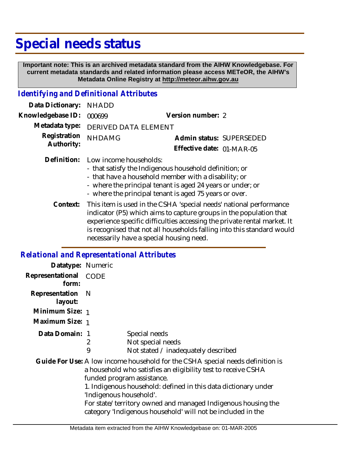# **Special needs status**

 **Important note: This is an archived metadata standard from the AIHW Knowledgebase. For current metadata standards and related information please access METeOR, the AIHW's Metadata Online Registry at http://meteor.aihw.gov.au**

#### *Identifying and Definitional Attributes*

| Data Dictionary:           | <b>NHADD</b>                                                                                                                                                                                                                                                                            |                                                                         |
|----------------------------|-----------------------------------------------------------------------------------------------------------------------------------------------------------------------------------------------------------------------------------------------------------------------------------------|-------------------------------------------------------------------------|
| Knowledgebase ID:          | 000699                                                                                                                                                                                                                                                                                  | Version number: 2                                                       |
| Metadata type:             | <b>DERIVED DATA ELEMENT</b>                                                                                                                                                                                                                                                             |                                                                         |
| Registration<br>Authority: | <b>NHDAMG</b>                                                                                                                                                                                                                                                                           | Admin status: SUPERSEDED                                                |
|                            |                                                                                                                                                                                                                                                                                         | Effective date: 01-MAR-05                                               |
|                            | Definition: Low income households:<br>- that satisfy the Indigenous household definition; or<br>- that have a household member with a disability; or<br>- where the principal tenant is aged 24 years or under; or<br>- where the principal tenant is aged 75 years or over.            |                                                                         |
|                            | $\sqrt{m}$ and $\sqrt{m}$ and $\sqrt{m}$ and $\sqrt{m}$ and $\sqrt{m}$ and $\sqrt{m}$ and $\sqrt{m}$ and $\sqrt{m}$ and $\sqrt{m}$ and $\sqrt{m}$ and $\sqrt{m}$ and $\sqrt{m}$ and $\sqrt{m}$ and $\sqrt{m}$ and $\sqrt{m}$ and $\sqrt{m}$ and $\sqrt{m}$ and $\sqrt{m}$ and $\sqrt{m$ | Context: This item is used in the CSHA 'special needs' national perform |

This item is used in the CSHA 'special needs' national performance indicator (P5) which aims to capture groups in the population that experience specific difficulties accessing the private rental market. It is recognised that not all households falling into this standard would necessarily have a special housing need.

#### *Relational and Representational Attributes*

| Datatype: Numeric         |                         |                                                                                                                                                                                                                                                                                                                                                                                |
|---------------------------|-------------------------|--------------------------------------------------------------------------------------------------------------------------------------------------------------------------------------------------------------------------------------------------------------------------------------------------------------------------------------------------------------------------------|
| Representational<br>form: | CODE                    |                                                                                                                                                                                                                                                                                                                                                                                |
| Representation<br>layout: | - N                     |                                                                                                                                                                                                                                                                                                                                                                                |
| Minimum Size: 1           |                         |                                                                                                                                                                                                                                                                                                                                                                                |
| Maximum Size: 1           |                         |                                                                                                                                                                                                                                                                                                                                                                                |
| Data Domain: 1            | 2<br>9                  | Special needs<br>Not special needs<br>Not stated / inadequately described                                                                                                                                                                                                                                                                                                      |
|                           | 'Indigenous household'. | Guide For Use: A low income household for the CSHA special needs definition is<br>a household who satisfies an eligibility test to receive CSHA<br>funded program assistance.<br>1. Indigenous household: defined in this data dictionary under<br>For state/territory owned and managed Indigenous housing the<br>category 'Indigenous household' will not be included in the |